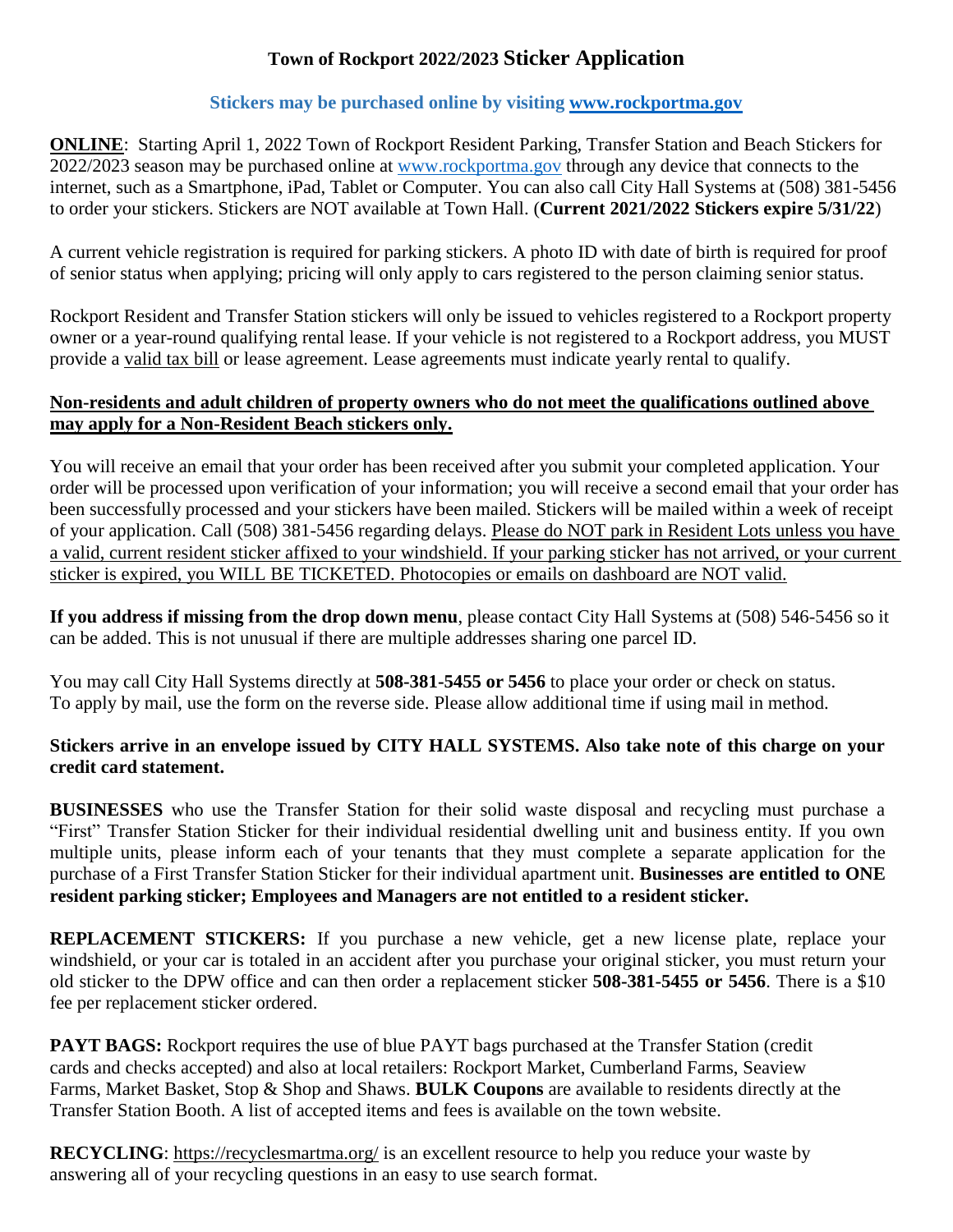## **Town of Rockport 2022/2023 Sticker Application**

## **Stickers may be purchased online by visiting [www.rockportma.gov](http://www.rockportma.gov/)**

**ONLINE**: Starting April 1, 2022 Town of Rockport Resident Parking, Transfer Station and Beach Stickers for 2022/2023 season may be purchased online at [www.rockportma.gov](http://www.rockportma.gov/) through any device that connects to the internet, such as a Smartphone, iPad, Tablet or Computer. You can also call City Hall Systems at (508) 381-5456 to order your stickers. Stickers are NOT available at Town Hall. (**Current 2021/2022 Stickers expire 5/31/22**)

A current vehicle registration is required for parking stickers. A photo ID with date of birth is required for proof of senior status when applying; pricing will only apply to cars registered to the person claiming senior status.

Rockport Resident and Transfer Station stickers will only be issued to vehicles registered to a Rockport property owner or a year-round qualifying rental lease. If your vehicle is not registered to a Rockport address, you MUST provide a valid tax bill or lease agreement. Lease agreements must indicate yearly rental to qualify.

## **Non-residents and adult children of property owners who do not meet the qualifications outlined above may apply for a Non-Resident Beach stickers only.**

You will receive an email that your order has been received after you submit your completed application. Your order will be processed upon verification of your information; you will receive a second email that your order has been successfully processed and your stickers have been mailed. Stickers will be mailed within a week of receipt of your application. Call (508) 381-5456 regarding delays. Please do NOT park in Resident Lots unless you have a valid, current resident sticker affixed to your windshield. If your parking sticker has not arrived, or your current sticker is expired, you WILL BE TICKETED. Photocopies or emails on dashboard are NOT valid.

**If you address if missing from the drop down menu**, please contact City Hall Systems at (508) 546-5456 so it can be added. This is not unusual if there are multiple addresses sharing one parcel ID.

You may call City Hall Systems directly at **508-381-5455 or 5456** to place your order or check on status. To apply by mail, use the form on the reverse side. Please allow additional time if using mail in method.

## **Stickers arrive in an envelope issued by CITY HALL SYSTEMS. Also take note of this charge on your credit card statement.**

**BUSINESSES** who use the Transfer Station for their solid waste disposal and recycling must purchase a "First" Transfer Station Sticker for their individual residential dwelling unit and business entity. If you own multiple units, please inform each of your tenants that they must complete a separate application for the purchase of a First Transfer Station Sticker for their individual apartment unit. **Businesses are entitled to ONE resident parking sticker; Employees and Managers are not entitled to a resident sticker.**

**REPLACEMENT STICKERS:** If you purchase a new vehicle, get a new license plate, replace your windshield, or your car is totaled in an accident after you purchase your original sticker, you must return your old sticker to the DPW office and can then order a replacement sticker **508-381-5455 or 5456**. There is a \$10 fee per replacement sticker ordered.

**PAYT BAGS:** Rockport requires the use of blue PAYT bags purchased at the Transfer Station (credit cards and checks accepted) and also at local retailers: Rockport Market, Cumberland Farms, Seaview Farms, Market Basket, Stop & Shop and Shaws. **BULK Coupons** are available to residents directly at the Transfer Station Booth. A list of accepted items and fees is available on the town website.

**RECYCLING**:<https://recyclesmartma.org/> is an excellent resource to help you reduce your waste by answering all of your recycling questions in an easy to use search format.